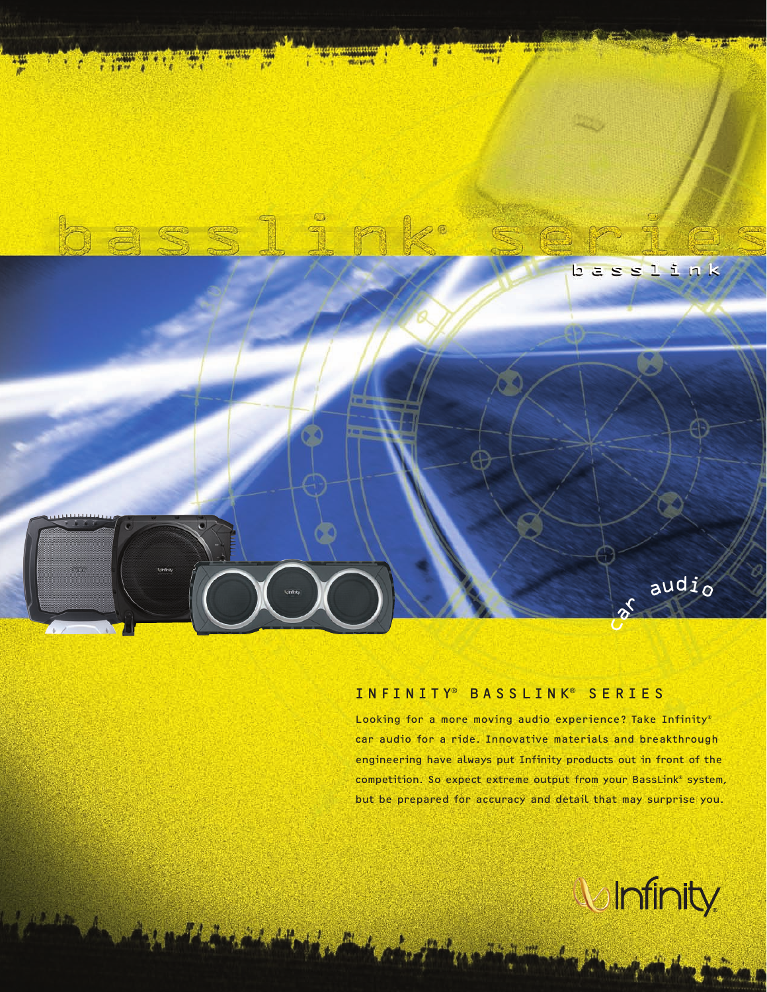

## INFINITY® BASSLINK® SERIES

Looking for a more moving audio experience? Take Infinity® car audio for a ride. Innovative materials and breakthrough engineering have always put Infinity products out in front of the competition. So expect extreme output from your BassLink® system, but be prepared for accuracy and detail that may surprise you.

**U** Infinity